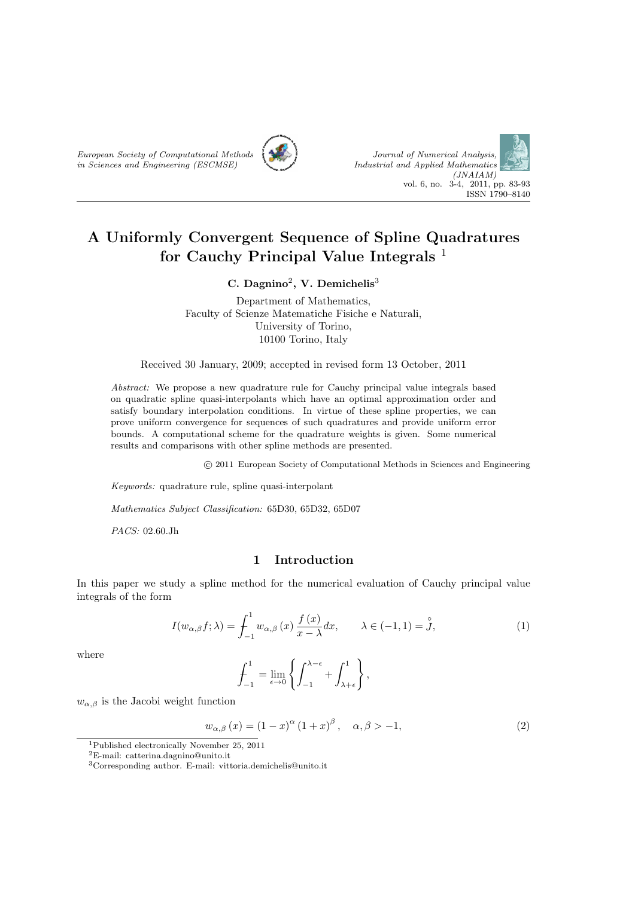



# **A Uniformly Convergent Sequence of Spline Quadratures for Cauchy Principal Value Integrals** <sup>1</sup>

#### **C. Dagnino**<sup>2</sup> **, V. Demichelis**<sup>3</sup>

Department of Mathematics, Faculty of Scienze Matematiche Fisiche e Naturali, University of Torino, 10100 Torino, Italy

Received 30 January, 2009; accepted in revised form 13 October, 2011

*Abstract:* We propose a new quadrature rule for Cauchy principal value integrals based on quadratic spline quasi-interpolants which have an optimal approximation order and satisfy boundary interpolation conditions. In virtue of these spline properties, we can prove uniform convergence for sequences of such quadratures and provide uniform error bounds. A computational scheme for the quadrature weights is given. Some numerical results and comparisons with other spline methods are presented.

 $\odot$  2011 European Society of Computational Methods in Sciences and Engineering

*Keywords:* quadrature rule, spline quasi-interpolant

*Mathematics Subject Classification:* 65D30, 65D32, 65D07

*PACS:* 02.60.Jh

# **1 Introduction**

In this paper we study a spline method for the numerical evaluation of Cauchy principal value integrals of the form

$$
I(w_{\alpha,\beta}f;\lambda) = \int_{-1}^{1} w_{\alpha,\beta}(x) \frac{f(x)}{x - \lambda} dx, \qquad \lambda \in (-1,1) = \mathring{J},
$$
 (1)

where

$$
\int_{-1}^{1} = \lim_{\epsilon \to 0} \left\{ \int_{-1}^{\lambda - \epsilon} + \int_{\lambda + \epsilon}^{1} \right\},\,
$$

 $w_{\alpha,\beta}$  is the Jacobi weight function

$$
\frac{w_{\alpha,\beta}(x) = (1-x)^{\alpha}(1+x)^{\beta}, \quad \alpha,\beta > -1,
$$
\n(2)

<sup>1</sup>Published electronically November 25, 2011

 $^2\mbox{E-mail:}$  catterina.dagnino@unito.it

<sup>3</sup>Corresponding author. E-mail: vittoria.demichelis@unito.it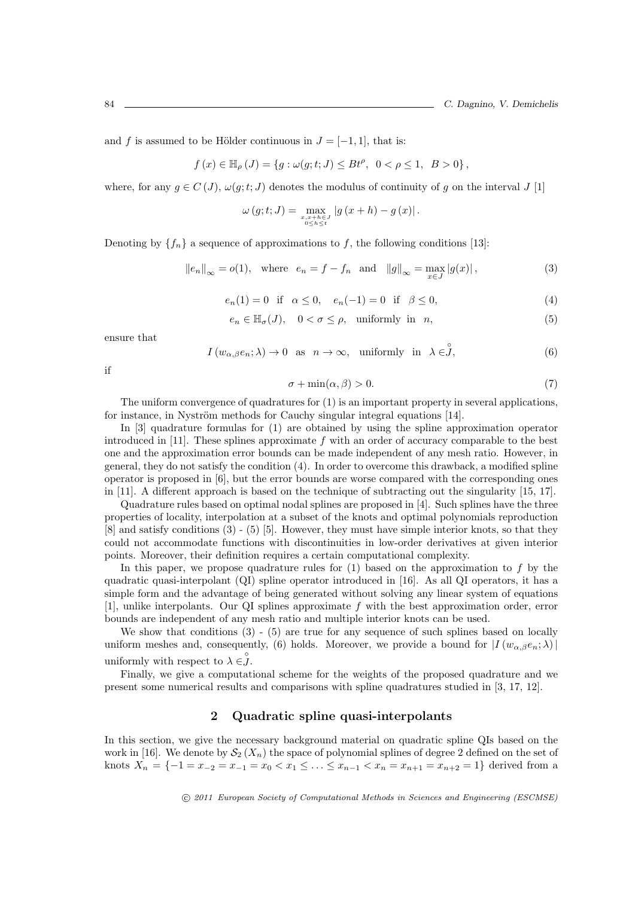and *f* is assumed to be Hölder continuous in  $J = [-1, 1]$ , that is:

$$
f(x) \in \mathbb{H}_{\rho}(J) = \{ g : \omega(g; t; J) \le B t^{\rho}, \ 0 < \rho \le 1, \ B > 0 \},
$$

where, for any  $g \in C(J)$ ,  $\omega(g; t; J)$  denotes the modulus of continuity of g on the interval  $J[1]$ 

$$
\omega(g;t;J) = \max_{\substack{x,x+h\in J\\0\leq h\leq t}}|g(x+h) - g(x)|.
$$

Denoting by  ${f_n}$  a sequence of approximations to *f*, the following conditions [13]:

$$
||e_n||_{\infty} = o(1)
$$
, where  $e_n = f - f_n$  and  $||g||_{\infty} = \max_{x \in J} |g(x)|$ , (3)

$$
e_n(1) = 0
$$
 if  $\alpha \le 0$ ,  $e_n(-1) = 0$  if  $\beta \le 0$ , (4)

$$
e_n \in \mathbb{H}_{\sigma}(J), \quad 0 < \sigma \le \rho, \quad \text{uniformly in } n,\tag{5}
$$

ensure that

$$
I(w_{\alpha,\beta}e_n; \lambda) \to 0 \text{ as } n \to \infty, \text{ uniformly in } \lambda \in \mathring{J},
$$
 (6)

if

$$
\sigma + \min(\alpha, \beta) > 0. \tag{7}
$$

The uniform convergence of quadratures for (1) is an important property in several applications, for instance, in Nyström methods for Cauchy singular integral equations [14].

In [3] quadrature formulas for (1) are obtained by using the spline approximation operator introduced in [11]. These splines approximate *f* with an order of accuracy comparable to the best one and the approximation error bounds can be made independent of any mesh ratio. However, in general, they do not satisfy the condition (4). In order to overcome this drawback, a modified spline operator is proposed in [6], but the error bounds are worse compared with the corresponding ones in [11]. A different approach is based on the technique of subtracting out the singularity [15, 17].

Quadrature rules based on optimal nodal splines are proposed in [4]. Such splines have the three properties of locality, interpolation at a subset of the knots and optimal polynomials reproduction [8] and satisfy conditions (3) - (5) [5]. However, they must have simple interior knots, so that they could not accommodate functions with discontinuities in low-order derivatives at given interior points. Moreover, their definition requires a certain computational complexity.

In this paper, we propose quadrature rules for  $(1)$  based on the approximation to  $f$  by the quadratic quasi-interpolant (QI) spline operator introduced in [16]. As all QI operators, it has a simple form and the advantage of being generated without solving any linear system of equations [1], unlike interpolants. Our QI splines approximate *f* with the best approximation order, error bounds are independent of any mesh ratio and multiple interior knots can be used.

We show that conditions  $(3)$  -  $(5)$  are true for any sequence of such splines based on locally uniform meshes and, consequently, (6) holds. Moreover, we provide a bound for  $|I(w_{\alpha,\beta}e_n;\lambda)|$ uniformly with respect to  $\lambda \in \mathcal{J}$ .

Finally, we give a computational scheme for the weights of the proposed quadrature and we present some numerical results and comparisons with spline quadratures studied in [3, 17, 12].

### **2 Quadratic spline quasi-interpolants**

In this section, we give the necessary background material on quadratic spline QIs based on the work in [16]. We denote by  $\mathcal{S}_2(X_n)$  the space of polynomial splines of degree 2 defined on the set of knots  $X_n = \{-1 = x_{-2} = x_{-1} = x_0 < x_1 \leq \ldots \leq x_{n-1} < x_n = x_{n+1} = x_{n+2} = 1\}$  derived from a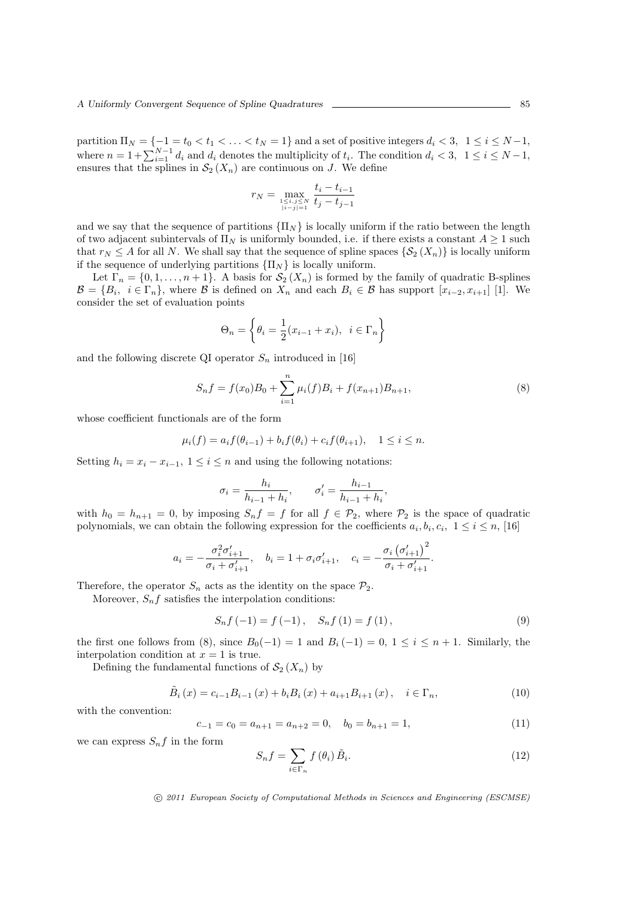partition  $\Pi_N = \{-1 = t_0 < t_1 < \ldots < t_N = 1\}$  and a set of positive integers  $d_i < 3$ ,  $1 \le i \le N-1$ , where  $n = 1 + \sum_{i=1}^{N-1} d_i$  and  $d_i$  denotes the multiplicity of  $t_i$ . The condition  $d_i < 3$ ,  $1 \le i \le N-1$ , ensures that the splines in  $\mathcal{S}_2(X_n)$  are continuous on *J*. We define

$$
r_N = \max_{1 \leq i,j \leq N \atop |i-j|=1} \frac{t_i - t_{i-1}}{t_j - t_{j-1}}
$$

and we say that the sequence of partitions  ${ \prod_N }$  is locally uniform if the ratio between the length of two adjacent subintervals of  $\Pi_N$  is uniformly bounded, i.e. if there exists a constant  $A \geq 1$  such that  $r_N \leq A$  for all *N*. We shall say that the sequence of spline spaces  $\{S_2(X_n)\}\$ is locally uniform if the sequence of underlying partitions  $\{\Pi_N\}$  is locally uniform.

Let  $\Gamma_n = \{0, 1, \ldots, n+1\}$ . A basis for  $\mathcal{S}_2(X_n)$  is formed by the family of quadratic B-splines  $\mathcal{B} = \{B_i, i \in \Gamma_n\}$ , where  $\mathcal B$  is defined on  $X_n$  and each  $B_i \in \mathcal B$  has support  $[x_{i-2}, x_{i+1}]$  [1]. We consider the set of evaluation points

$$
\Theta_n = \left\{ \theta_i = \frac{1}{2} (x_{i-1} + x_i), \ i \in \Gamma_n \right\}
$$

and the following discrete QI operator  $S_n$  introduced in [16]

$$
S_n f = f(x_0) B_0 + \sum_{i=1}^n \mu_i(f) B_i + f(x_{n+1}) B_{n+1},
$$
\n(8)

whose coefficient functionals are of the form

$$
\mu_i(f) = a_i f(\theta_{i-1}) + b_i f(\theta_i) + c_i f(\theta_{i+1}), \quad 1 \leq i \leq n.
$$

Setting  $h_i = x_i - x_{i-1}$ ,  $1 \leq i \leq n$  and using the following notations:

$$
\sigma_i = \frac{h_i}{h_{i-1} + h_i}, \qquad \sigma'_i = \frac{h_{i-1}}{h_{i-1} + h_i},
$$

with  $h_0 = h_{n+1} = 0$ , by imposing  $S_n f = f$  for all  $f \in \mathcal{P}_2$ , where  $\mathcal{P}_2$  is the space of quadratic polynomials, we can obtain the following expression for the coefficients  $a_i, b_i, c_i, 1 \leq i \leq n$ , [16]

$$
a_i = -\frac{\sigma_i^2 \sigma_{i+1}'}{\sigma_i + \sigma_{i+1}'}, \quad b_i = 1 + \sigma_i \sigma_{i+1}', \quad c_i = -\frac{\sigma_i (\sigma_{i+1}')^2}{\sigma_i + \sigma_{i+1}'}.
$$

Therefore, the operator  $S_n$  acts as the identity on the space  $P_2$ .

Moreover,  $S_n f$  satisfies the interpolation conditions:

$$
S_n f(-1) = f(-1), \quad S_n f(1) = f(1), \tag{9}
$$

the first one follows from (8), since  $B_0(-1) = 1$  and  $B_i(-1) = 0$ ,  $1 \le i \le n + 1$ . Similarly, the interpolation condition at  $x = 1$  is true.

Defining the fundamental functions of  $\mathcal{S}_2(X_n)$  by

$$
\tilde{B}_{i}(x) = c_{i-1}B_{i-1}(x) + b_{i}B_{i}(x) + a_{i+1}B_{i+1}(x), \quad i \in \Gamma_{n},
$$
\n(10)

with the convention:

$$
c_{-1} = c_0 = a_{n+1} = a_{n+2} = 0, \quad b_0 = b_{n+1} = 1,
$$
\n(11)

we can express  $S_n f$  in the form

$$
S_n f = \sum_{i \in \Gamma_n} f(\theta_i) \tilde{B}_i.
$$
 (12)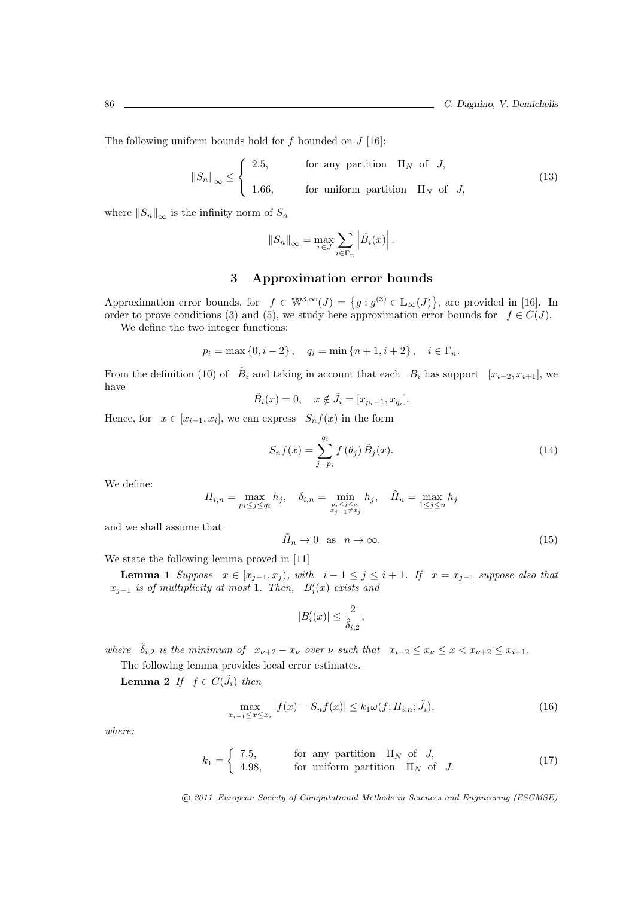The following uniform bounds hold for *f* bounded on *J* [16]:

$$
||S_n||_{\infty} \leq \begin{cases} 2.5, & \text{for any partition } \Pi_N \text{ of } J, \\ 1.66, & \text{for uniform partition } \Pi_N \text{ of } J, \end{cases}
$$
 (13)

where  $||S_n||_{\infty}$  is the infinity norm of  $S_n$ 

$$
||S_n||_{\infty} = \max_{x \in J} \sum_{i \in \Gamma_n} \left| \tilde{B}_i(x) \right|.
$$

#### **3 Approximation error bounds**

Approximation error bounds, for  $f \in \mathbb{W}^{3,\infty}(J) = \{g : g^{(3)} \in \mathbb{L}_{\infty}(J)\}\)$ , are provided in [16]. In order to prove conditions (3) and (5), we study here approximation error bounds for  $f \in C(J)$ .

We define the two integer functions:

$$
p_i = \max\{0, i-2\}, \quad q_i = \min\{n+1, i+2\}, \quad i \in \Gamma_n.
$$

From the definition (10) of  $\tilde{B}_i$  and taking in account that each  $B_i$  has support  $[x_{i-2}, x_{i+1}]$ , we have

$$
\tilde{B}_i(x) = 0, \quad x \notin \tilde{J}_i = [x_{p_i-1}, x_{q_i}].
$$

Hence, for  $x \in [x_{i-1}, x_i]$ , we can express  $S_n f(x)$  in the form

$$
S_n f(x) = \sum_{j=p_i}^{q_i} f(\theta_j) \, \tilde{B}_j(x). \tag{14}
$$

We define:

$$
H_{i,n} = \max_{p_i \le j \le q_i} h_j, \quad \delta_{i,n} = \min_{\substack{p_i \le j \le q_i \\ x_{j-1} \ne x_j}} h_j, \quad \tilde{H}_n = \max_{1 \le j \le n} h_j
$$

and we shall assume that

$$
\tilde{H}_n \to 0 \quad \text{as} \quad n \to \infty. \tag{15}
$$

We state the following lemma proved in [11]

**Lemma 1** Suppose  $x \in [x_{j-1}, x_j)$ , with  $i-1 \leq j \leq i+1$ . If  $x = x_{j-1}$  suppose also that *x<sup>j</sup>−*<sup>1</sup> *is of multiplicity at most* 1*. Then, B′ i* (*x*) *exists and*

$$
|B_i'(x)| \leq \frac{2}{\hat{\delta}_{i,2}},
$$

where  $\hat{\delta}_{i,2}$  is the minimum of  $x_{\nu+2} - x_{\nu}$  over  $\nu$  such that  $x_{i-2} \leq x_{\nu} \leq x < x_{\nu+2} \leq x_{i+1}$ .

The following lemma provides local error estimates.

Lemma 2 *If*  $f \in C(\tilde{J}_i)$  *then* 

$$
\max_{x_{i-1} \le x \le x_i} |f(x) - S_n f(x)| \le k_1 \omega(f; H_{i,n}; \tilde{J}_i),
$$
\n(16)

*where:*

$$
k_1 = \begin{cases} 7.5, & \text{for any partition } \Pi_N \text{ of } J, \\ 4.98, & \text{for uniform partition } \Pi_N \text{ of } J. \end{cases} \tag{17}
$$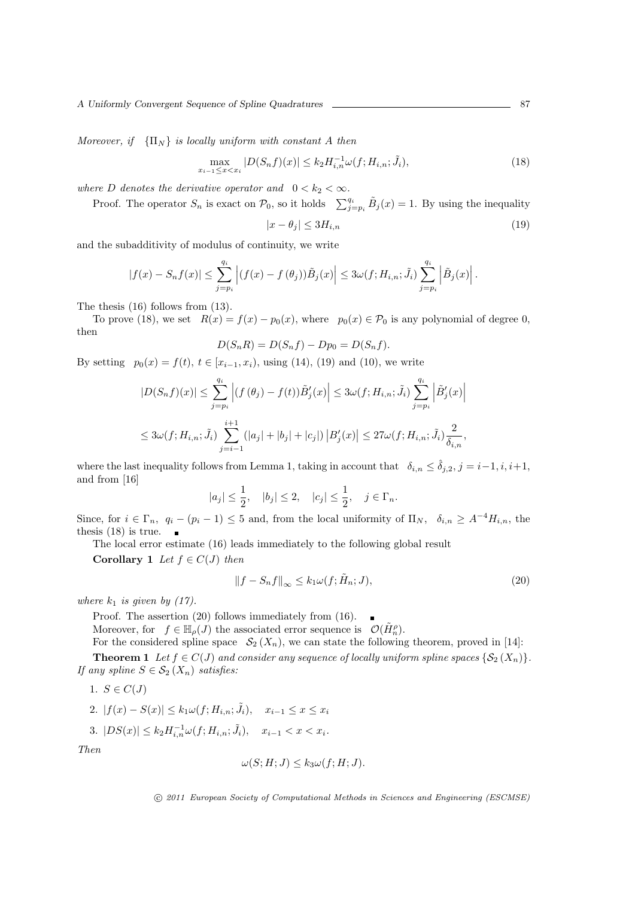*Moreover, if*  ${\{\Pi_N\}}$  *is locally uniform with constant A then* 

$$
\max_{x_{i-1} \le x < x_i} |D(S_n f)(x)| \le k_2 H_{i,n}^{-1} \omega(f; H_{i,n}; \tilde{J}_i),\tag{18}
$$

*where D denotes the derivative operator and*  $0 < k_2 < \infty$ *.* 

Proof. The operator  $S_n$  is exact on  $\mathcal{P}_0$ , so it holds  $\sum_{j=p_i}^{q_i} \tilde{B}_j(x) = 1$ . By using the inequality

$$
|x - \theta_j| \le 3H_{i,n} \tag{19}
$$

and the subadditivity of modulus of continuity, we write

$$
|f(x) - S_n f(x)| \leq \sum_{j=p_i}^{q_i} \left| (f(x) - f(\theta_j)) \tilde{B}_j(x) \right| \leq 3\omega(f; H_{i,n}; \tilde{J}_i) \sum_{j=p_i}^{q_i} \left| \tilde{B}_j(x) \right|.
$$

The thesis (16) follows from (13).

To prove (18), we set  $R(x) = f(x) - p_0(x)$ , where  $p_0(x) \in \mathcal{P}_0$  is any polynomial of degree 0, then

$$
D(S_n R) = D(S_n f) - D p_0 = D(S_n f).
$$

By setting  $p_0(x) = f(t), t \in [x_{i-1}, x_i)$ , using (14), (19) and (10), we write

$$
|D(S_n f)(x)| \leq \sum_{j=p_i}^{q_i} \left| (f(\theta_j) - f(t)) \tilde{B}'_j(x) \right| \leq 3\omega(f; H_{i,n}; \tilde{J}_i) \sum_{j=p_i}^{q_i} \left| \tilde{B}'_j(x) \right|
$$
  

$$
\leq 3\omega(f; H_{i,n}; \tilde{J}_i) \sum_{j=i-1}^{i+1} (|a_j| + |b_j| + |c_j|) |B'_j(x)| \leq 27\omega(f; H_{i,n}; \tilde{J}_i) \frac{2}{\delta_{i,n}},
$$

where the last inequality follows from Lemma 1, taking in account that  $\delta_{i,n} \leq \hat{\delta}_{i,2}, j = i-1, i, i+1$ , and from [16]

$$
|a_j| \le \frac{1}{2}
$$
,  $|b_j| \le 2$ ,  $|c_j| \le \frac{1}{2}$ ,  $j \in \Gamma_n$ .

Since, for  $i \in \Gamma_n$ ,  $q_i - (p_i - 1) \leq 5$  and, from the local uniformity of  $\Pi_N$ ,  $\delta_{i,n} \geq A^{-4}H_{i,n}$ , the thesis (18) is true.  $\overline{\phantom{a}}$ 

The local error estimate (16) leads immediately to the following global result

**Corollary 1** *Let*  $f \in C(J)$  *then* 

$$
||f - S_n f||_{\infty} \le k_1 \omega(f; \tilde{H}_n; J),
$$
\n(20)

*where*  $k_1$  *is given by (17).* 

Proof. The assertion (20) follows immediately from (16).  $\blacksquare$ 

Moreover, for  $f \in \mathbb{H}_{\rho}(J)$  the associated error sequence is  $\mathcal{O}(\tilde{H}_{n}^{\rho})$ .

For the considered spline space  $S_2(X_n)$ , we can state the following theorem, proved in [14]:

**Theorem 1** *Let*  $f \in C(J)$  *and consider any sequence of locally uniform spline spaces*  $\{S_2(X_n)\}.$ *If any spline*  $S \in \mathcal{S}_2(X_n)$  *satisfies:* 

$$
1. S \in C(J)
$$

2. 
$$
|f(x) - S(x)| \le k_1 \omega(f; H_{i,n}; \tilde{J}_i), \quad x_{i-1} \le x \le x_i
$$

3. 
$$
|DS(x)| \le k_2 H_{i,n}^{-1} \omega(f; H_{i,n}; \tilde{J}_i), \quad x_{i-1} < x < x_i.
$$

*Then*

$$
\omega(S; H; J) \le k_3 \omega(f; H; J).
$$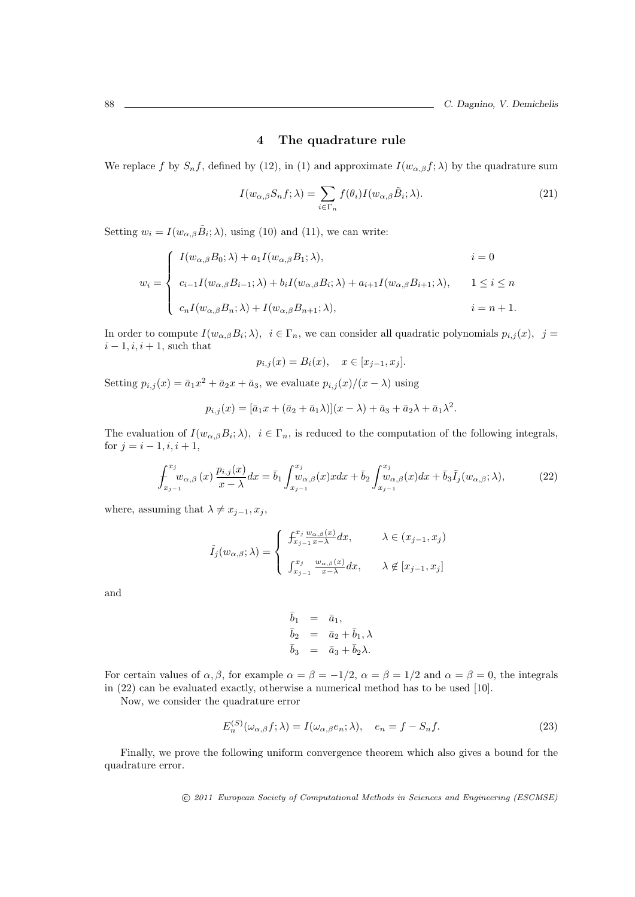### **4 The quadrature rule**

We replace *f* by  $S_n f$ , defined by (12), in (1) and approximate  $I(w_{\alpha,\beta} f; \lambda)$  by the quadrature sum

$$
I(w_{\alpha,\beta}S_n f; \lambda) = \sum_{i \in \Gamma_n} f(\theta_i) I(w_{\alpha,\beta} \tilde{B}_i; \lambda).
$$
 (21)

Setting  $w_i = I(w_{\alpha,\beta} \tilde{B}_i; \lambda)$ , using (10) and (11), we can write:

$$
w_{i} = \begin{cases} I(w_{\alpha,\beta}B_{0};\lambda) + a_{1}I(w_{\alpha,\beta}B_{1};\lambda), & i = 0 \\ c_{i-1}I(w_{\alpha,\beta}B_{i-1};\lambda) + b_{i}I(w_{\alpha,\beta}B_{i};\lambda) + a_{i+1}I(w_{\alpha,\beta}B_{i+1};\lambda), & 1 \leq i \leq n \\ c_{n}I(w_{\alpha,\beta}B_{n};\lambda) + I(w_{\alpha,\beta}B_{n+1};\lambda), & i = n+1. \end{cases}
$$

In order to compute  $I(w_{\alpha,\beta}B_i;\lambda), i \in \Gamma_n$ , we can consider all quadratic polynomials  $p_{i,j}(x), j =$ *i* − 1*, i, i* + 1*,* such that

$$
p_{i,j}(x) = B_i(x), \quad x \in [x_{j-1}, x_j].
$$

Setting  $p_{i,j}(x) = \bar{a}_1 x^2 + \bar{a}_2 x + \bar{a}_3$ , we evaluate  $p_{i,j}(x)/(x - \lambda)$  using

$$
p_{i,j}(x) = [\bar{a}_1x + (\bar{a}_2 + \bar{a}_1\lambda)](x - \lambda) + \bar{a}_3 + \bar{a}_2\lambda + \bar{a}_1\lambda^2.
$$

The evaluation of  $I(w_{\alpha,\beta}B_i;\lambda)$ ,  $i \in \Gamma_n$ , is reduced to the computation of the following integrals, for  $j = i - 1, i, i + 1$ ,

$$
\int_{x_{j-1}}^{x_j} w_{\alpha,\beta}(x) \frac{p_{i,j}(x)}{x-\lambda} dx = \bar{b}_1 \int_{x_{j-1}}^{x_j} w_{\alpha,\beta}(x) x dx + \bar{b}_2 \int_{x_{j-1}}^{x_j} w_{\alpha,\beta}(x) dx + \bar{b}_3 \tilde{I}_j(w_{\alpha,\beta}; \lambda),
$$
\n(22)

where, assuming that  $\lambda \neq x_{j-1}, x_j$ ,

$$
\tilde{I}_j(w_{\alpha,\beta};\lambda) = \begin{cases}\n\frac{\int_{x_j}^{x_j} \frac{w_{\alpha,\beta}(x)}{w_{\alpha,\beta}(x)}}{\int_{x_{j-1}}^{x_j} \frac{w_{\alpha,\beta}(x)}{x-\lambda} dx}, & \lambda \in (x_{j-1},x_j] \\
\frac{\int_{x_{j-1}}^{x_j} \frac{w_{\alpha,\beta}(x)}{w_{\alpha,\beta}(x)}}{w_{\alpha,\beta}(x)} dx, & \lambda \notin [x_{j-1},x_j]\n\end{cases}
$$

and

$$
\begin{array}{rcl}\n\bar{b}_1 &=& \bar{a}_1, \\
\bar{b}_2 &=& \bar{a}_2 + \bar{b}_1, \lambda \\
\bar{b}_3 &=& \bar{a}_3 + \bar{b}_2 \lambda.\n\end{array}
$$

For certain values of  $\alpha, \beta$ , for example  $\alpha = \beta = -1/2$ ,  $\alpha = \beta = 1/2$  and  $\alpha = \beta = 0$ , the integrals in (22) can be evaluated exactly, otherwise a numerical method has to be used [10].

Now, we consider the quadrature error

$$
E_n^{(S)}(\omega_{\alpha,\beta}f;\lambda) = I(\omega_{\alpha,\beta}e_n;\lambda), \quad e_n = f - S_nf.
$$
\n(23)

Finally, we prove the following uniform convergence theorem which also gives a bound for the quadrature error.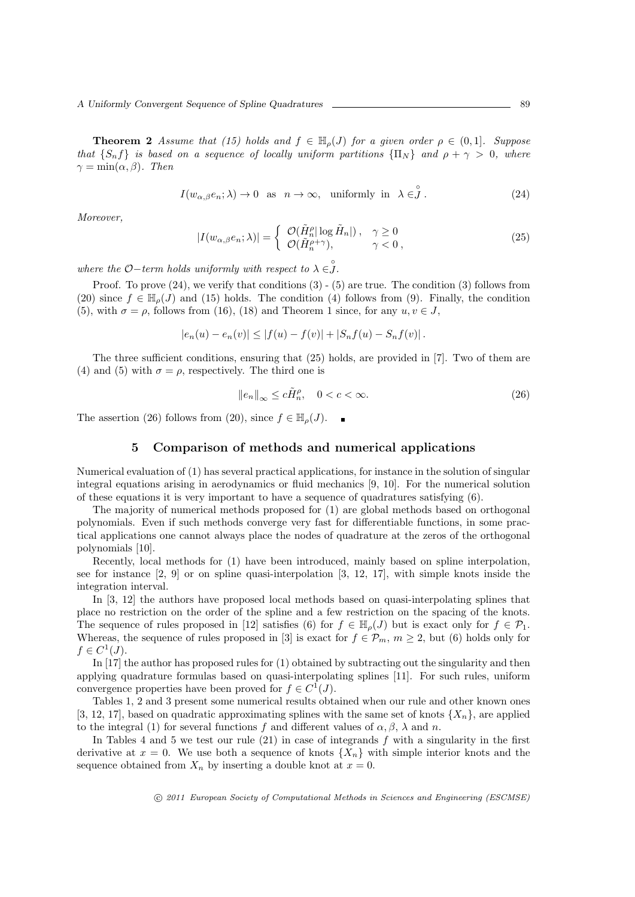*A Uniformly Convergent Sequence of Spline Quadratures* 2008 **1999** 89

**Theorem 2** *Assume that* (15) holds and  $f \in \mathbb{H}_{o}(J)$  for a given order  $\rho \in (0,1]$ *. Suppose that*  ${S_n f}$  *is based on a sequence of locally uniform partitions*  ${ \prod_N }$  *and*  $\rho + \gamma > 0$ *, where*  $\gamma = \min(\alpha, \beta)$ *. Then* 

$$
I(w_{\alpha,\beta}e_n; \lambda) \to 0 \text{ as } n \to \infty, \text{ uniformly in } \lambda \in \mathring{J}.
$$
 (24)

*Moreover,*

$$
|I(w_{\alpha,\beta}e_n; \lambda)| = \begin{cases} \mathcal{O}(\tilde{H}_n^{\rho}|\log \tilde{H}_n|), & \gamma \ge 0\\ \mathcal{O}(\tilde{H}_n^{\rho+\gamma}), & \gamma < 0, \end{cases}
$$
 (25)

*where the*  $O$ *-term holds uniformly with respect to*  $\lambda \in \mathcal{S}$ .

Proof. To prove  $(24)$ , we verify that conditions  $(3)$  -  $(5)$  are true. The condition  $(3)$  follows from (20) since  $f \in \mathbb{H}_o(J)$  and (15) holds. The condition (4) follows from (9). Finally, the condition (5), with  $\sigma = \rho$ , follows from (16), (18) and Theorem 1 since, for any  $u, v \in J$ ,

$$
|e_n(u) - e_n(v)| \le |f(u) - f(v)| + |S_nf(u) - S_nf(v)|.
$$

The three sufficient conditions, ensuring that (25) holds, are provided in [7]. Two of them are (4) and (5) with  $\sigma = \rho$ , respectively. The third one is

$$
||e_n||_{\infty} \le c\tilde{H}_n^{\rho}, \quad 0 < c < \infty.
$$

The assertion (26) follows from (20), since  $f \in \mathbb{H}_{\rho}(J)$ .

#### **5 Comparison of methods and numerical applications**

Numerical evaluation of (1) has several practical applications, for instance in the solution of singular integral equations arising in aerodynamics or fluid mechanics [9, 10]. For the numerical solution of these equations it is very important to have a sequence of quadratures satisfying (6).

The majority of numerical methods proposed for (1) are global methods based on orthogonal polynomials. Even if such methods converge very fast for differentiable functions, in some practical applications one cannot always place the nodes of quadrature at the zeros of the orthogonal polynomials [10].

Recently, local methods for (1) have been introduced, mainly based on spline interpolation, see for instance [2, 9] or on spline quasi-interpolation [3, 12, 17], with simple knots inside the integration interval.

In [3, 12] the authors have proposed local methods based on quasi-interpolating splines that place no restriction on the order of the spline and a few restriction on the spacing of the knots. The sequence of rules proposed in [12] satisfies (6) for  $f \in \mathbb{H}_{\rho}(J)$  but is exact only for  $f \in \mathcal{P}_1$ . Whereas, the sequence of rules proposed in [3] is exact for  $f \in \mathcal{P}_m$ ,  $m \geq 2$ , but (6) holds only for  $f \in C^1(J)$ .

In [17] the author has proposed rules for (1) obtained by subtracting out the singularity and then applying quadrature formulas based on quasi-interpolating splines [11]. For such rules, uniform convergence properties have been proved for  $f \in C^1(J)$ .

Tables 1, 2 and 3 present some numerical results obtained when our rule and other known ones [3, 12, 17], based on quadratic approximating splines with the same set of knots  $\{X_n\}$ , are applied to the integral (1) for several functions *f* and different values of  $\alpha$ ,  $\beta$ ,  $\lambda$  and *n*.

In Tables 4 and 5 we test our rule (21) in case of integrands *f* with a singularity in the first derivative at  $x = 0$ . We use both a sequence of knots  $\{X_n\}$  with simple interior knots and the sequence obtained from  $X_n$  by inserting a double knot at  $x = 0$ .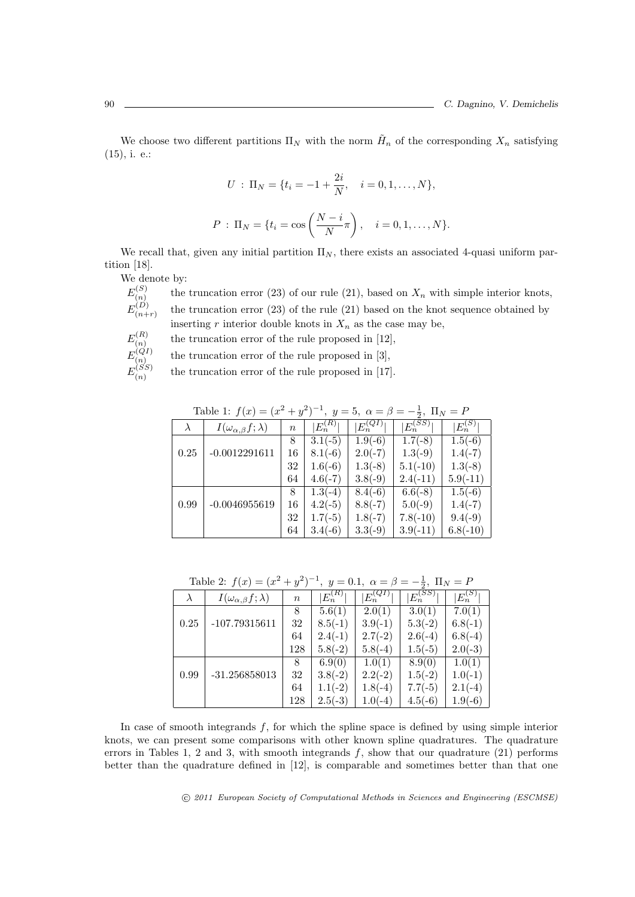We choose two different partitions  $\Pi_N$  with the norm  $\tilde{H}_n$  of the corresponding  $X_n$  satisfying (15), i. e.:

$$
U : \Pi_N = \{t_i = -1 + \frac{2i}{N}, \quad i = 0, 1, ..., N\},\
$$
  

$$
P : \Pi_N = \{t_i = \cos\left(\frac{N-i}{N}\pi\right), \quad i = 0, 1, ..., N\}.
$$

We recall that, given any initial partition  $\Pi_N$ , there exists an associated 4-quasi uniform partition [18].

We denote by:

$$
E_{(n)}^{(S)}\\E_{(n+r)}^{(D)}
$$

the truncation error  $(23)$  of our rule  $(21)$ , based on  $X_n$  with simple interior knots, the truncation error (23) of the rule (21) based on the knot sequence obtained by inserting  $r$  interior double knots in  $X_n$  as the case may be,

$$
E_{(n)}^{(R)}\\E_{(n)}^{(QI)}
$$

the truncation error of the rule proposed in [12],

 $E_{(n)}^{(Q)}$  $E_{(n)}^{(SS)}$ (*n*)

the truncation error of the rule proposed in [3],

the truncation error of the rule proposed in [17].

| Table 1: $f(x) = (x^2 + y^2)^{-1}$ , $y = 5$ , $\alpha = \beta = -\frac{1}{2}$ , $\Pi_N = P$ |                                     |                  |               |              |              |             |  |  |
|----------------------------------------------------------------------------------------------|-------------------------------------|------------------|---------------|--------------|--------------|-------------|--|--|
| $\lambda$                                                                                    | $I(\omega_{\alpha,\beta}f;\lambda)$ | $\boldsymbol{n}$ | $ E_n^{(R)} $ | $E_n^{(QI)}$ | $E_n^{(SS)}$ | $E_n^{(S)}$ |  |  |
|                                                                                              |                                     | 8                | $3.1(-5)$     | $1.9(-6)$    | $1.7(-8)$    | $1.5(-6)$   |  |  |
| 0.25                                                                                         | $-0.0012291611$                     | 16               | $8.1(-6)$     | $2.0(-7)$    | $1.3(-9)$    | $1.4(-7)$   |  |  |
|                                                                                              |                                     | 32               | $1.6(-6)$     | $1.3(-8)$    | $5.1(-10)$   | $1.3(-8)$   |  |  |
|                                                                                              |                                     | 64               | $4.6(-7)$     | $3.8(-9)$    | $2.4(-11)$   | $5.9(-11)$  |  |  |
|                                                                                              |                                     | 8                | $1.3(-4)$     | $8.4(-6)$    | $6.6(-8)$    | $1.5(-6)$   |  |  |
| 0.99                                                                                         | $-0.0046955619$                     | 16               | $4.2(-5)$     | $8.8(-7)$    | $5.0(-9)$    | $1.4(-7)$   |  |  |
|                                                                                              |                                     | 32               | $1.7(-5)$     | $1.8(-7)$    | $7.8(-10)$   | $9.4(-9)$   |  |  |
|                                                                                              |                                     | 64               | $3.4(-6)$     | $3.3(-9)$    | $3.9(-11)$   | $6.8(-10)$  |  |  |

Table 1:  $f(x) = (x)$  $^{2} + y$ 2 ) *−*1 *,*  $y = 5$ *,*  $\alpha = \beta = -$ 1 *,*  $\Pi_N = F$ 

| Table 2: $f(x) = (x^2 + y^2)^{-1}$ , $y = 0.1$ , $\alpha = \beta = -\frac{1}{2}$ , $\Pi_N = P$ |                                     |                  |               |                |                |               |  |  |  |
|------------------------------------------------------------------------------------------------|-------------------------------------|------------------|---------------|----------------|----------------|---------------|--|--|--|
| $\lambda$                                                                                      | $I(\omega_{\alpha,\beta}f;\lambda)$ | $\boldsymbol{n}$ | $ E_n^{(R)} $ | $ E_n^{(QI)} $ | $ E_n^{(SS)} $ | $ E_n^{(S)} $ |  |  |  |
|                                                                                                |                                     | 8                | 5.6(1)        | 2.0(1)         | 3.0(1)         | 7.0(1)        |  |  |  |
| 0.25                                                                                           | $-107.79315611$                     | 32               | $8.5(-1)$     | $3.9(-1)$      | $5.3(-2)$      | $6.8(-1)$     |  |  |  |
|                                                                                                |                                     | 64               | $2.4(-1)$     | $2.7(-2)$      | $2.6(-4)$      | $6.8(-4)$     |  |  |  |
|                                                                                                |                                     | 128              | $5.8(-2)$     | $5.8(-4)$      | $1.5(-5)$      | $2.0(-3)$     |  |  |  |
|                                                                                                |                                     | 8                | 6.9(0)        | 1.0(1)         | 8.9(0)         | 1.0(1)        |  |  |  |
| 0.99                                                                                           | $-31.256858013$                     | 32               | $3.8(-2)$     | $2.2(-2)$      | $1.5(-2)$      | $1.0(-1)$     |  |  |  |
|                                                                                                |                                     | 64               | $1.1(-2)$     | $1.8(-4)$      | $7.7(-5)$      | $2.1(-4)$     |  |  |  |
|                                                                                                |                                     | 128              | $2.5(-3)$     | $1.0(-4)$      | $4.5(-6)$      | $1.9(-6)$     |  |  |  |

In case of smooth integrands *f*, for which the spline space is defined by using simple interior knots, we can present some comparisons with other known spline quadratures. The quadrature errors in Tables 1, 2 and 3, with smooth integrands *f*, show that our quadrature (21) performs better than the quadrature defined in [12], is comparable and sometimes better than that one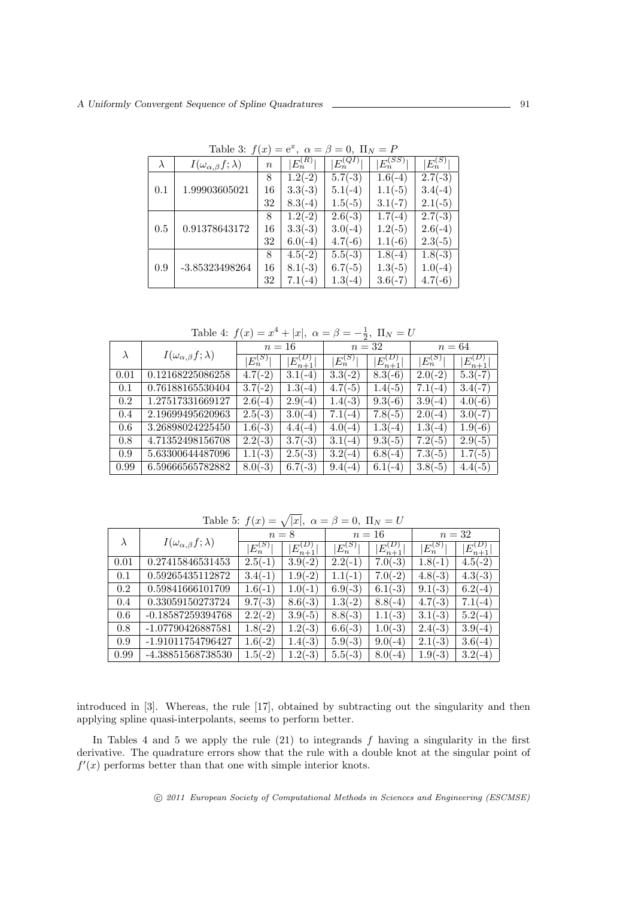|           | 1001 U                              | $\cdots$ |             |              |              |             |
|-----------|-------------------------------------|----------|-------------|--------------|--------------|-------------|
| $\lambda$ | $I(\omega_{\alpha,\beta}f;\lambda)$ | $\it{n}$ | $E_n^{(R)}$ | $E_n^{(QI)}$ | $E_n^{(SS)}$ | $E_n^{(S)}$ |
| 0.1       |                                     | 8        | $1.2(-2)$   | $5.7(-3)$    | $1.6(-4)$    | $2.7(-3)$   |
|           | 1.99903605021                       | 16       | $3.3(-3)$   | $5.1(-4)$    | $1.1(-5)$    | $3.4(-4)$   |
|           |                                     | 32       | $8.3(-4)$   | $1.5(-5)$    | $3.1(-7)$    | $2.1(-5)$   |
| 0.5       |                                     | 8        | $1.2(-2)$   | $2.6(-3)$    | $1.7(-4)$    | $2.7(-3)$   |
|           | 0.91378643172                       | 16       | $3.3(-3)$   | $3.0(-4)$    | $1.2(-5)$    | $2.6(-4)$   |
|           |                                     | 32       | $6.0(-4)$   | $4.7(-6)$    | $1.1(-6)$    | $2.3(-5)$   |
| 0.9       |                                     | 8        | $4.5(-2)$   | $5.5(-3)$    | $1.8(-4)$    | $1.8(-3)$   |
|           | -3.85323498264                      | 16       | $8.1(-3)$   | $6.7(-5)$    | $1.3(-5)$    | $1.0(-4)$   |
|           |                                     | 32       | $7.1(-4)$   | $1.3(-4)$    | $3.6(-7)$    | $4.7(-6)$   |

Table 3:  $f(x) = e^x$ ,  $\alpha = \beta = 0$ ,  $\Pi_N = P$ 

Table 4:  $f(x) = x^4 + |x|, \ \alpha = \beta = -\frac{1}{2}, \ \Pi_N = U$ 

|      | $I(\omega_{\alpha,\beta}f;\lambda)$ | $n=16$      |                 | $n=32$      |                            | $n=64$      |                 |
|------|-------------------------------------|-------------|-----------------|-------------|----------------------------|-------------|-----------------|
|      |                                     | $E_n^{(S)}$ | $E_{n+1}^{(D)}$ | $E_n^{(S)}$ | $E_{n+1}^{(\overline{D})}$ | $E_n^{(S)}$ | $E_{n+1}^{(D)}$ |
| 0.01 | 0.12168225086258                    | $4.7(-2)$   | $3.1(-4)$       | $3.3(-2)$   | $8.3(-6)$                  | $2.0(-2)$   | $5.3(-7)$       |
| 0.1  | 0.76188165530404                    | $3.7(-2)$   | $1.3(-4)$       | $4.7(-5)$   | $1.4(-5)$                  | $7.1(-4)$   | $3.4(-7)$       |
| 0.2  | 1.27517331669127                    | $2.6(-4)$   | $2.9(-4)$       | $1.4(-3)$   | $9.3(-6)$                  | $3.9(-4)$   | $4.0(-6)$       |
| 0.4  | 2.19699495620963                    | $2.5(-3)$   | $3.0(-4)$       | $7.1(-4)$   | $7.8(-5)$                  | $2.0(-4)$   | $3.0(-7)$       |
| 0.6  | 3.26898024225450                    | $1.6(-3)$   | $4.4(-4)$       | $4.0(-4)$   | $1.3(-4)$                  | $1.3(-4)$   | $1.9(-6)$       |
| 0.8  | 4.71352498156708                    | $2.2(-3)$   | $3.7(-3)$       | $3.1(-4)$   | $9.3(-5)$                  | $7.2(-5)$   | $2.9(-5)$       |
| 0.9  | 5.63300644487096                    | $1.1(-3)$   | $2.5(-3)$       | $3.2(-4)$   | $6.8(-4)$                  | $7.3(-5)$   | $1.7(-5)$       |
| 0.99 | 6.59666565782882                    | $8.0(-3)$   | $6.7(-3)$       | $9.4(-4)$   | $6.1(-4)$                  | $3.8(-5)$   | $4.4(-5)$       |

Table 5:  $f(x) = \sqrt{|x|}, \ \alpha = \beta = 0, \ \Pi_N = U$ 

|      | $I(\omega_{\alpha,\beta}f;\lambda)$ | $n=8$       |                 | $n=16$      |                 | $n=32$      |                 |
|------|-------------------------------------|-------------|-----------------|-------------|-----------------|-------------|-----------------|
|      |                                     | $E_n^{(S)}$ | $E_{n+1}^{(D)}$ | $E_n^{(S)}$ | $E_{n+1}^{(D)}$ | $E_n^{(S)}$ | $E_{n+1}^{(D)}$ |
| 0.01 | 0.27415846531453                    | $2.5(-1)$   | $3.9(-2)$       | $2.2(-1)$   | $7.0(-3)$       | $1.8(-1)$   | $4.5(-2)$       |
| 0.1  | 0.59265435112872                    | $3.4(-1)$   | $1.9(-2)$       | $1.1(-1)$   | $7.0(-2)$       | $4.8(-3)$   | $4.3(-3)$       |
| 0.2  | 0.59841666101709                    | $1.6(-1)$   | $1.0(-1)$       | $6.9(-3)$   | $6.1(-3)$       | $9.1(-3)$   | $6.2(-4)$       |
| 0.4  | 0.33059150273724                    | $9.7(-3)$   | $8.6(-3)$       | $1.3(-2)$   | $8.8(-4)$       | $4.7(-3)$   | $7.1(-4)$       |
| 0.6  | $-0.18587259394768$                 | $2.2(-2)$   | $3.9(-5)$       | $8.8(-3)$   | $1.1(-3)$       | $3.1(-3)$   | $5.2(-4)$       |
| 0.8  | -1.07790426887581                   | $1.8(-2)$   | $1.2(-3)$       | $6.6(-3)$   | $1.0(-3)$       | $2.4(-3)$   | $3.9(-4)$       |
| 0.9  | -1.91011754796427                   | $1.6(-2)$   | $1.4(-3)$       | $5.9(-3)$   | $9.0(-4)$       | $2.1(-3)$   | $3.6(-4)$       |
| 0.99 | -4.38851568738530                   | $1.5(-2)$   | $1.2(-3)$       | $5.5(-3)$   | $8.0(-4)$       | $1.9(-3)$   | $3.2(-4)$       |

introduced in [3]. Whereas, the rule [17], obtained by subtracting out the singularity and then applying spline quasi-interpolants, seems to perform better.

In Tables 4 and 5 we apply the rule (21) to integrands *f* having a singularity in the first derivative. The quadrature errors show that the rule with a double knot at the singular point of  $f'(x)$  performs better than that one with simple interior knots.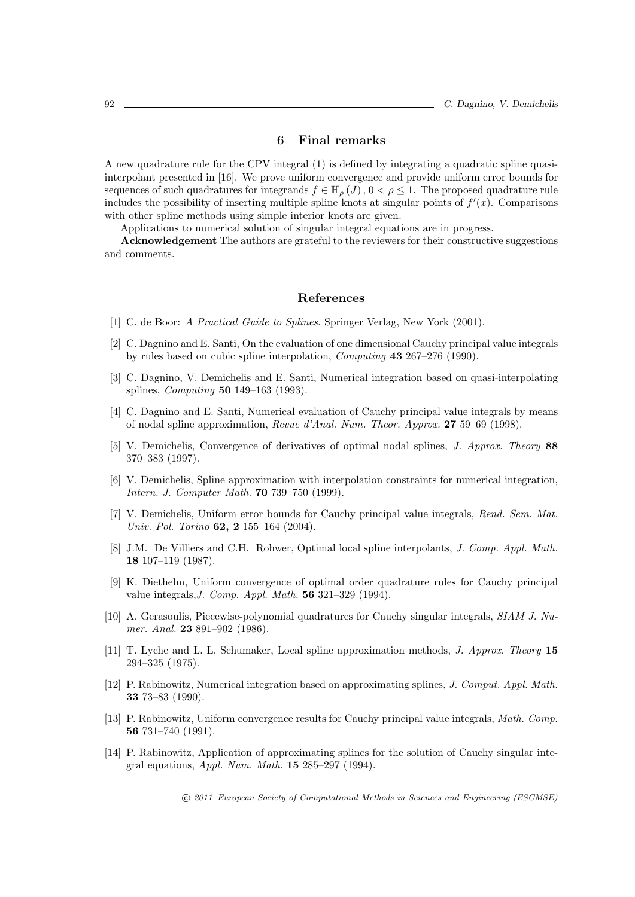#### **6 Final remarks**

A new quadrature rule for the CPV integral (1) is defined by integrating a quadratic spline quasiinterpolant presented in [16]. We prove uniform convergence and provide uniform error bounds for sequences of such quadratures for integrands  $f \in \mathbb{H}_{\rho}(J)$ ,  $0 < \rho \leq 1$ . The proposed quadrature rule includes the possibility of inserting multiple spline knots at singular points of  $f'(x)$ . Comparisons with other spline methods using simple interior knots are given.

Applications to numerical solution of singular integral equations are in progress.

**Acknowledgement** The authors are grateful to the reviewers for their constructive suggestions and comments.

# **References**

- [1] C. de Boor: *A Practical Guide to Splines*. Springer Verlag, New York (2001).
- [2] C. Dagnino and E. Santi, On the evaluation of one dimensional Cauchy principal value integrals by rules based on cubic spline interpolation, *Computing* **43** 267–276 (1990).
- [3] C. Dagnino, V. Demichelis and E. Santi, Numerical integration based on quasi-interpolating splines, *Computing* **50** 149–163 (1993).
- [4] C. Dagnino and E. Santi, Numerical evaluation of Cauchy principal value integrals by means of nodal spline approximation, *Revue d'Anal. Num. Theor. Approx.* **27** 59–69 (1998).
- [5] V. Demichelis, Convergence of derivatives of optimal nodal splines, *J. Approx. Theory* **88** 370–383 (1997).
- [6] V. Demichelis, Spline approximation with interpolation constraints for numerical integration, *Intern. J. Computer Math.* **70** 739–750 (1999).
- [7] V. Demichelis, Uniform error bounds for Cauchy principal value integrals, *Rend. Sem. Mat. Univ. Pol. Torino* **62, 2** 155–164 (2004).
- [8] J.M. De Villiers and C.H. Rohwer, Optimal local spline interpolants, *J. Comp. Appl. Math.* **18** 107–119 (1987).
- [9] K. Diethelm, Uniform convergence of optimal order quadrature rules for Cauchy principal value integrals,*J. Comp. Appl. Math.* **56** 321–329 (1994).
- [10] A. Gerasoulis, Piecewise-polynomial quadratures for Cauchy singular integrals, *SIAM J. Numer. Anal.* **23** 891–902 (1986).
- [11] T. Lyche and L. L. Schumaker, Local spline approximation methods, *J. Approx. Theory* **15** 294–325 (1975).
- [12] P. Rabinowitz, Numerical integration based on approximating splines, *J. Comput. Appl. Math.* **33** 73–83 (1990).
- [13] P. Rabinowitz, Uniform convergence results for Cauchy principal value integrals, *Math. Comp.* **56** 731–740 (1991).
- [14] P. Rabinowitz, Application of approximating splines for the solution of Cauchy singular integral equations, *Appl. Num. Math.* **15** 285–297 (1994).